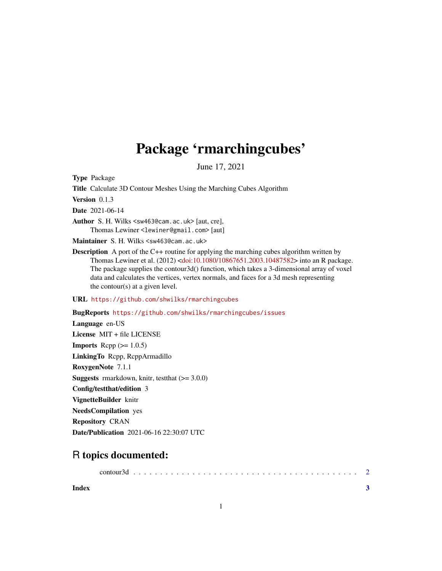## Package 'rmarchingcubes'

June 17, 2021

Type Package

Title Calculate 3D Contour Meshes Using the Marching Cubes Algorithm

Version 0.1.3

Date 2021-06-14

Author S. H. Wilks <sw463@cam.ac.uk> [aut, cre], Thomas Lewiner <lewiner@gmail.com> [aut]

Maintainer S. H. Wilks <sw463@cam.ac.uk>

**Description** A port of the C++ routine for applying the marching cubes algorithm written by Thomas Lewiner et al. (2012) [<doi:10.1080/10867651.2003.10487582>](https://doi.org/10.1080/10867651.2003.10487582) into an R package. The package supplies the contour3d() function, which takes a 3-dimensional array of voxel data and calculates the vertices, vertex normals, and faces for a 3d mesh representing the contour(s) at a given level.

URL <https://github.com/shwilks/rmarchingcubes>

BugReports <https://github.com/shwilks/rmarchingcubes/issues>

Language en-US License MIT + file LICENSE **Imports** Rcpp  $(>= 1.0.5)$ LinkingTo Rcpp, RcppArmadillo RoxygenNote 7.1.1 **Suggests** rmarkdown, knitr, test that  $(>= 3.0.0)$ Config/testthat/edition 3 VignetteBuilder knitr NeedsCompilation yes Repository CRAN Date/Publication 2021-06-16 22:30:07 UTC

### R topics documented:

**Index** [3](#page-2-0)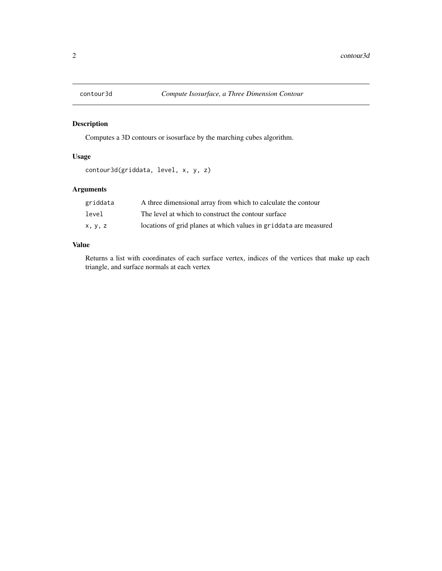<span id="page-1-0"></span>

#### Description

Computes a 3D contours or isosurface by the marching cubes algorithm.

#### Usage

```
contour3d(griddata, level, x, y, z)
```
#### Arguments

| griddata | A three dimensional array from which to calculate the contour     |
|----------|-------------------------------------------------------------------|
| level    | The level at which to construct the contour surface               |
| X, V, Z  | locations of grid planes at which values in griddata are measured |

#### Value

Returns a list with coordinates of each surface vertex, indices of the vertices that make up each triangle, and surface normals at each vertex